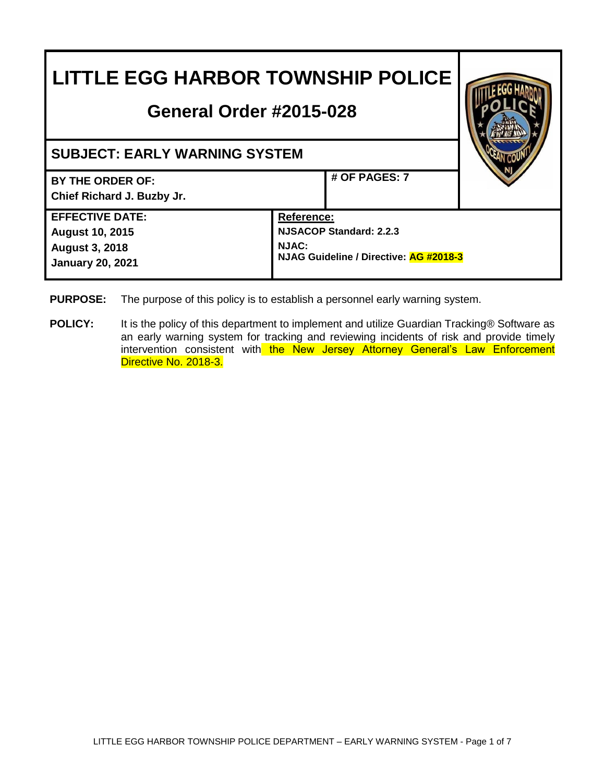| <b>LITTLE EGG HARBOR TOWNSHIP POLICE</b><br><b>General Order #2015-028</b>                           |                                                                                                               |  |
|------------------------------------------------------------------------------------------------------|---------------------------------------------------------------------------------------------------------------|--|
| <b>SUBJECT: EARLY WARNING SYSTEM</b>                                                                 |                                                                                                               |  |
| BY THE ORDER OF:<br>Chief Richard J. Buzby Jr.                                                       | # OF PAGES: 7                                                                                                 |  |
| <b>EFFECTIVE DATE:</b><br><b>August 10, 2015</b><br><b>August 3, 2018</b><br><b>January 20, 2021</b> | <b>Reference:</b><br><b>NJSACOP Standard: 2.2.3</b><br><b>NJAC:</b><br>NJAG Guideline / Directive: AG #2018-3 |  |

- **PURPOSE:** The purpose of this policy is to establish a personnel early warning system.
- **POLICY:** It is the policy of this department to implement and utilize Guardian Tracking® Software as an early warning system for tracking and reviewing incidents of risk and provide timely intervention consistent with the New Jersey Attorney General's Law Enforcement Directive No. 2018-3.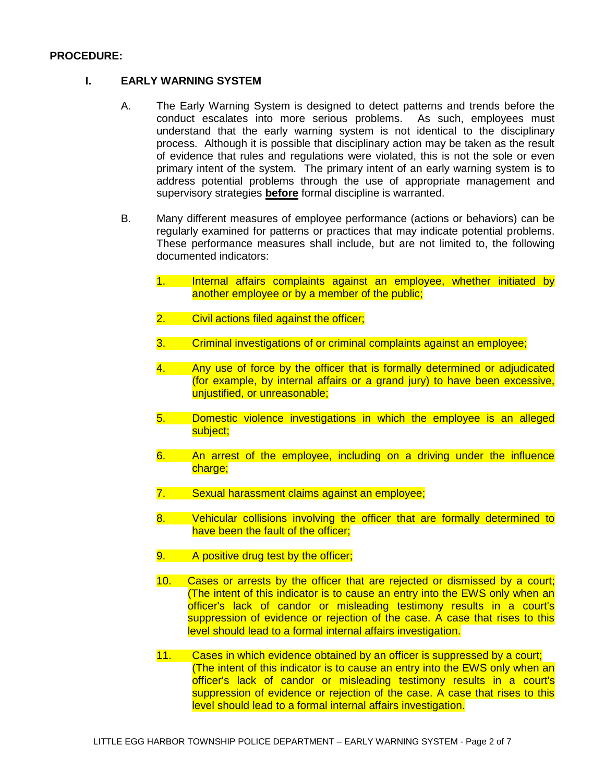#### **PROCEDURE:**

### **I. EARLY WARNING SYSTEM**

- A. The Early Warning System is designed to detect patterns and trends before the conduct escalates into more serious problems. As such, employees must understand that the early warning system is not identical to the disciplinary process. Although it is possible that disciplinary action may be taken as the result of evidence that rules and regulations were violated, this is not the sole or even primary intent of the system. The primary intent of an early warning system is to address potential problems through the use of appropriate management and supervisory strategies **before** formal discipline is warranted.
- B. Many different measures of employee performance (actions or behaviors) can be regularly examined for patterns or practices that may indicate potential problems. These performance measures shall include, but are not limited to, the following documented indicators:
	- 1. Internal affairs complaints against an employee, whether initiated by another employee or by a member of the public;
	- 2. Civil actions filed against the officer;
	- 3. Criminal investigations of or criminal complaints against an employee;
	- 4. Any use of force by the officer that is formally determined or adjudicated (for example, by internal affairs or a grand jury) to have been excessive, unjustified, or unreasonable;
	- 5. Domestic violence investigations in which the employee is an alleged subject:
	- 6. An arrest of the employee, including on a driving under the influence charge;
	- 7. Sexual harassment claims against an employee;
	- 8. Vehicular collisions involving the officer that are formally determined to have been the fault of the officer;
	- 9. A positive drug test by the officer;
	- 10. Cases or arrests by the officer that are rejected or dismissed by a court; (The intent of this indicator is to cause an entry into the EWS only when an officer's lack of candor or misleading testimony results in a court's suppression of evidence or rejection of the case. A case that rises to this level should lead to a formal internal affairs investigation.
	- 11. Cases in which evidence obtained by an officer is suppressed by a court; (The intent of this indicator is to cause an entry into the EWS only when an officer's lack of candor or misleading testimony results in a court's suppression of evidence or rejection of the case. A case that rises to this level should lead to a formal internal affairs investigation.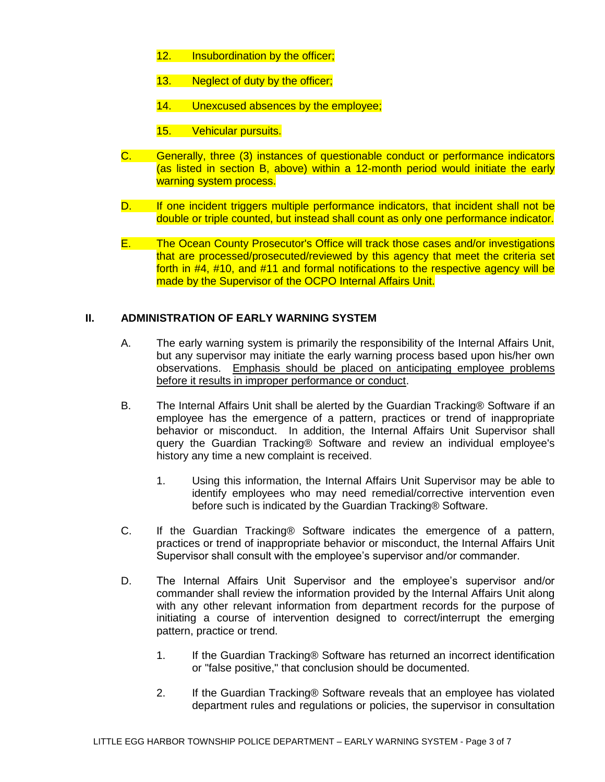- 12. Insubordination by the officer;
- 13. Neglect of duty by the officer;
- 14. Unexcused absences by the employee;
- 15. Vehicular pursuits.
- C. Generally, three (3) instances of questionable conduct or performance indicators (as listed in section B, above) within a 12-month period would initiate the early warning system process.
- D. If one incident triggers multiple performance indicators, that incident shall not be double or triple counted, but instead shall count as only one performance indicator.
- E. The Ocean County Prosecutor's Office will track those cases and/or investigations that are processed/prosecuted/reviewed by this agency that meet the criteria set forth in #4, #10, and #11 and formal notifications to the respective agency will be made by the Supervisor of the OCPO Internal Affairs Unit.

#### **II. ADMINISTRATION OF EARLY WARNING SYSTEM**

- A. The early warning system is primarily the responsibility of the Internal Affairs Unit, but any supervisor may initiate the early warning process based upon his/her own observations. Emphasis should be placed on anticipating employee problems before it results in improper performance or conduct.
- B. The Internal Affairs Unit shall be alerted by the Guardian Tracking® Software if an employee has the emergence of a pattern, practices or trend of inappropriate behavior or misconduct. In addition, the Internal Affairs Unit Supervisor shall query the Guardian Tracking® Software and review an individual employee's history any time a new complaint is received.
	- 1. Using this information, the Internal Affairs Unit Supervisor may be able to identify employees who may need remedial/corrective intervention even before such is indicated by the Guardian Tracking® Software.
- C. If the Guardian Tracking® Software indicates the emergence of a pattern, practices or trend of inappropriate behavior or misconduct, the Internal Affairs Unit Supervisor shall consult with the employee's supervisor and/or commander.
- D. The Internal Affairs Unit Supervisor and the employee's supervisor and/or commander shall review the information provided by the Internal Affairs Unit along with any other relevant information from department records for the purpose of initiating a course of intervention designed to correct/interrupt the emerging pattern, practice or trend.
	- 1. If the Guardian Tracking® Software has returned an incorrect identification or "false positive," that conclusion should be documented.
	- 2. If the Guardian Tracking® Software reveals that an employee has violated department rules and regulations or policies, the supervisor in consultation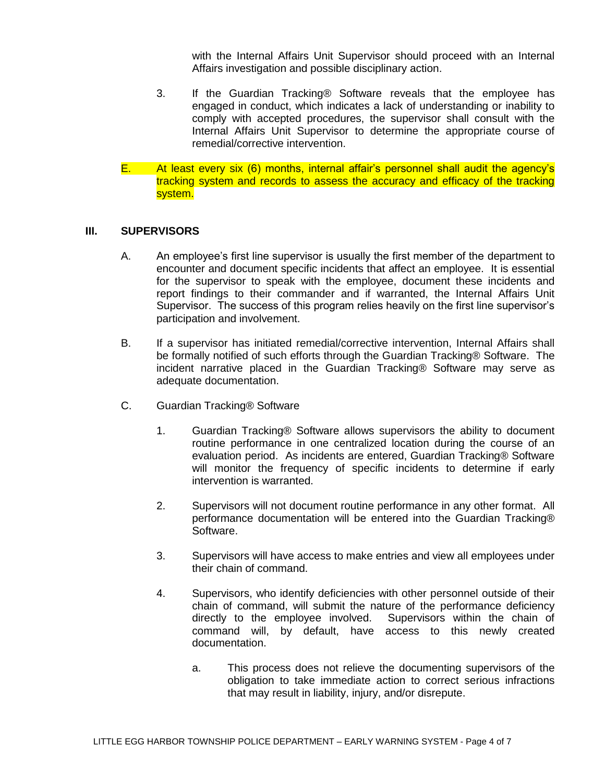with the Internal Affairs Unit Supervisor should proceed with an Internal Affairs investigation and possible disciplinary action.

- 3. If the Guardian Tracking® Software reveals that the employee has engaged in conduct, which indicates a lack of understanding or inability to comply with accepted procedures, the supervisor shall consult with the Internal Affairs Unit Supervisor to determine the appropriate course of remedial/corrective intervention.
- E. At least every six (6) months, internal affair's personnel shall audit the agency's tracking system and records to assess the accuracy and efficacy of the tracking system.

#### **III. SUPERVISORS**

- A. An employee's first line supervisor is usually the first member of the department to encounter and document specific incidents that affect an employee. It is essential for the supervisor to speak with the employee, document these incidents and report findings to their commander and if warranted, the Internal Affairs Unit Supervisor. The success of this program relies heavily on the first line supervisor's participation and involvement.
- B. If a supervisor has initiated remedial/corrective intervention, Internal Affairs shall be formally notified of such efforts through the Guardian Tracking® Software. The incident narrative placed in the Guardian Tracking® Software may serve as adequate documentation.
- C. Guardian Tracking® Software
	- 1. Guardian Tracking® Software allows supervisors the ability to document routine performance in one centralized location during the course of an evaluation period. As incidents are entered, Guardian Tracking® Software will monitor the frequency of specific incidents to determine if early intervention is warranted.
	- 2. Supervisors will not document routine performance in any other format. All performance documentation will be entered into the Guardian Tracking® Software.
	- 3. Supervisors will have access to make entries and view all employees under their chain of command.
	- 4. Supervisors, who identify deficiencies with other personnel outside of their chain of command, will submit the nature of the performance deficiency directly to the employee involved. Supervisors within the chain of command will, by default, have access to this newly created documentation.
		- a. This process does not relieve the documenting supervisors of the obligation to take immediate action to correct serious infractions that may result in liability, injury, and/or disrepute.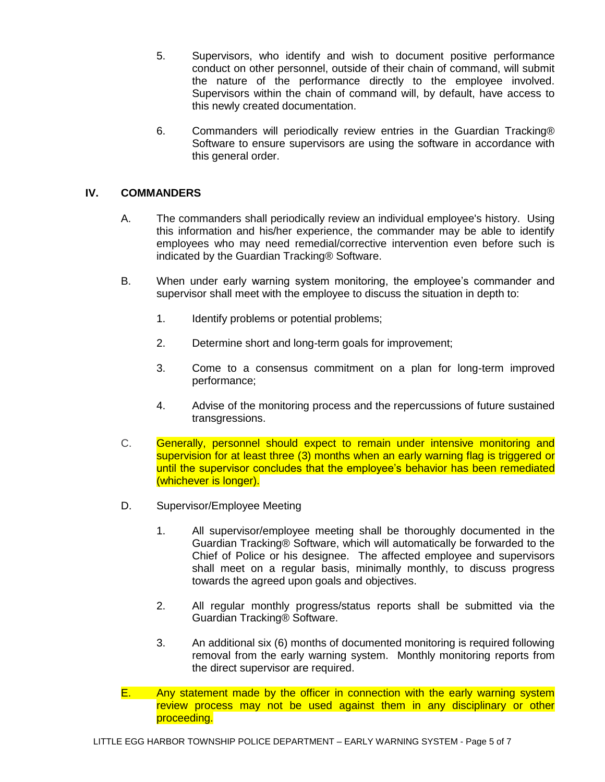- 5. Supervisors, who identify and wish to document positive performance conduct on other personnel, outside of their chain of command, will submit the nature of the performance directly to the employee involved. Supervisors within the chain of command will, by default, have access to this newly created documentation.
- 6. Commanders will periodically review entries in the Guardian Tracking® Software to ensure supervisors are using the software in accordance with this general order.

# **IV. COMMANDERS**

- A. The commanders shall periodically review an individual employee's history. Using this information and his/her experience, the commander may be able to identify employees who may need remedial/corrective intervention even before such is indicated by the Guardian Tracking® Software.
- B. When under early warning system monitoring, the employee's commander and supervisor shall meet with the employee to discuss the situation in depth to:
	- 1. Identify problems or potential problems;
	- 2. Determine short and long-term goals for improvement;
	- 3. Come to a consensus commitment on a plan for long-term improved performance;
	- 4. Advise of the monitoring process and the repercussions of future sustained transgressions.
- C. Generally, personnel should expect to remain under intensive monitoring and supervision for at least three (3) months when an early warning flag is triggered or until the supervisor concludes that the employee's behavior has been remediated (whichever is longer).
- D. Supervisor/Employee Meeting
	- 1. All supervisor/employee meeting shall be thoroughly documented in the Guardian Tracking® Software, which will automatically be forwarded to the Chief of Police or his designee. The affected employee and supervisors shall meet on a regular basis, minimally monthly, to discuss progress towards the agreed upon goals and objectives.
	- 2. All regular monthly progress/status reports shall be submitted via the Guardian Tracking® Software.
	- 3. An additional six (6) months of documented monitoring is required following removal from the early warning system. Monthly monitoring reports from the direct supervisor are required.
- E. Any statement made by the officer in connection with the early warning system review process may not be used against them in any disciplinary or other proceeding.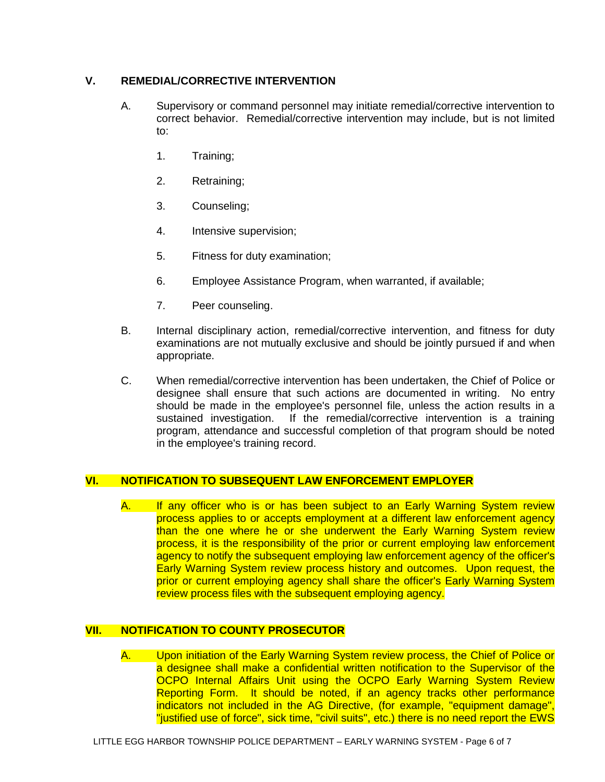# **V. REMEDIAL/CORRECTIVE INTERVENTION**

- A. Supervisory or command personnel may initiate remedial/corrective intervention to correct behavior. Remedial/corrective intervention may include, but is not limited to:
	- 1. Training;
	- 2. Retraining;
	- 3. Counseling;
	- 4. Intensive supervision;
	- 5. Fitness for duty examination;
	- 6. Employee Assistance Program, when warranted, if available;
	- 7. Peer counseling.
- B. Internal disciplinary action, remedial/corrective intervention, and fitness for duty examinations are not mutually exclusive and should be jointly pursued if and when appropriate.
- C. When remedial/corrective intervention has been undertaken, the Chief of Police or designee shall ensure that such actions are documented in writing. No entry should be made in the employee's personnel file, unless the action results in a sustained investigation. If the remedial/corrective intervention is a training program, attendance and successful completion of that program should be noted in the employee's training record.

# **VI. NOTIFICATION TO SUBSEQUENT LAW ENFORCEMENT EMPLOYER**

A. If any officer who is or has been subject to an Early Warning System review process applies to or accepts employment at a different law enforcement agency than the one where he or she underwent the Early Warning System review process, it is the responsibility of the prior or current employing law enforcement agency to notify the subsequent employing law enforcement agency of the officer's Early Warning System review process history and outcomes. Upon request, the prior or current employing agency shall share the officer's Early Warning System review process files with the subsequent employing agency.

# **VII. NOTIFICATION TO COUNTY PROSECUTOR**

A. Upon initiation of the Early Warning System review process, the Chief of Police or a designee shall make a confidential written notification to the Supervisor of the OCPO Internal Affairs Unit using the OCPO Early Warning System Review Reporting Form. It should be noted, if an agency tracks other performance indicators not included in the AG Directive, (for example, "equipment damage", "justified use of force", sick time, "civil suits", etc.) there is no need report the EWS